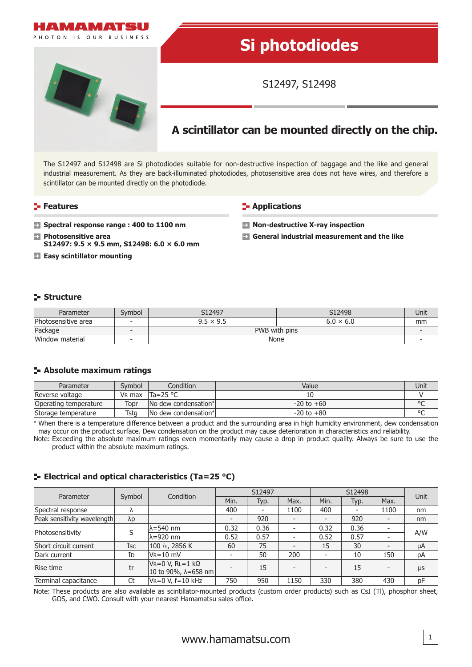

The S12497 and S12498 are Si photodiodes suitable for non-destructive inspection of baggage and the like and general industrial measurement. As they are back-illuminated photodiodes, photosensitive area does not have wires, and therefore a scintillator can be mounted directly on the photodiode.

#### **Features**

#### **E-** Applications

- **E** Spectral response range : 400 to 1100 nm  **Photosensitive area**
- **S12497: 9.5 × 9.5 mm, S12498: 6.0 × 6.0 mm**
- **Easy scintillator mounting**
- **Non-destructive X-ray inspection**
- **General industrial measurement and the like**

## **Structure**

| Parameter           | Svmbol                   | S12497           | S12498           | Unit |
|---------------------|--------------------------|------------------|------------------|------|
| Photosensitive area | $\overline{\phantom{a}}$ | $9.5 \times 9.5$ | $6.0 \times 6.0$ | mm   |
| Package             |                          | PWB with pins    |                  |      |
| Window material     |                          | None             |                  |      |

### **Absolute maximum ratings**

| Parameter             | Svmbol             | Condition                   | Value          | Unit    |
|-----------------------|--------------------|-----------------------------|----------------|---------|
| Reverse voltage       | V <sub>R</sub> max | $Ta = 25 °C$                |                |         |
| Operating temperature | Topr               | No dew condensation*        | $-20$ to $+60$ | $\circ$ |
| Storage temperature   | Tsta               | <b>No dew condensation*</b> | $-20$ to $+80$ | $\circ$ |

\* When there is a temperature difference between a product and the surrounding area in high humidity environment, dew condensation may occur on the product surface. Dew condensation on the product may cause deterioration in characteristics and reliability.

Note: Exceeding the absolute maximum ratings even momentarily may cause a drop in product quality. Always be sure to use the product within the absolute maximum ratings.

# **E** Electrical and optical characteristics (Ta=25 °C)

| Parameter                   | Symbol      | Condition                                            | S12497         |                          |                          | S12498 |      |      | Unit |
|-----------------------------|-------------|------------------------------------------------------|----------------|--------------------------|--------------------------|--------|------|------|------|
|                             |             |                                                      | Min.           | Typ.                     | Max.                     | Min.   | Typ. | Max. |      |
| Spectral response           |             |                                                      | 400            | $\overline{\phantom{a}}$ | 1100                     | 400    |      | 1100 | nm   |
| Peak sensitivity wavelength | $\lambda p$ |                                                      | $\overline{a}$ | 920                      |                          |        | 920  |      | nm   |
| Photosensitivity            |             | lλ=540 nm                                            | 0.32           | 0.36                     | -                        | 0.32   | 0.36 |      | A/W  |
|                             |             | $\lambda = 920$ nm                                   | 0.52           | 0.57                     | ٠                        | 0.52   | 0.57 |      |      |
| Short circuit current       | Isc         | 100 $lx$ , 2856 K                                    | 60             | 75                       | $\overline{\phantom{0}}$ | 15     | 30   |      | μA   |
| Dark current                | ID          | $V = 10$ mV                                          |                | 50                       | 200                      |        | 10   | 150  | pA   |
| Rise time                   | tr          | $V = 0 V, R = 1 kΩ$<br>10 to 90%, $\lambda = 658$ nm |                | 15                       |                          |        | 15   |      | μs   |
| Terminal capacitance        | Ct          | $V = 0 V$ , f=10 kHz                                 | 750            | 950                      | 1150                     | 330    | 380  | 430  | pF   |

Note: These products are also available as scintillator-mounted products (custom order products) such as CsI (Tl), phosphor sheet, GOS, and CWO. Consult with your nearest Hamamatsu sales office.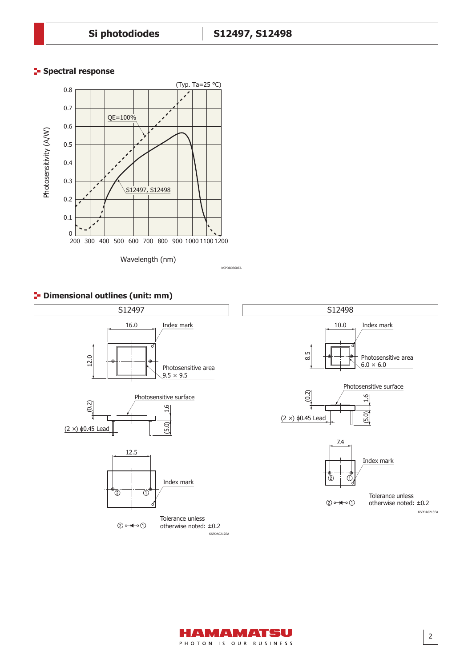## **Spectral response**









2